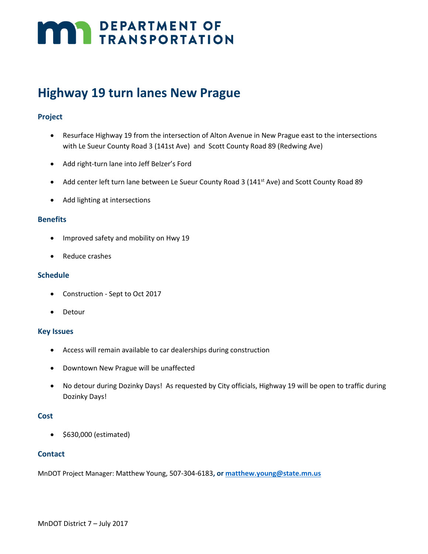# **MARI DEPARTMENT OF TRANSPORTATION**

## **Highway 19 turn lanes New Prague**

### **Project**

- Resurface Highway 19 from the intersection of Alton Avenue in New Prague east to the intersections with Le Sueur County Road 3 (141st Ave) and Scott County Road 89 (Redwing Ave)
- Add right-turn lane into Jeff Belzer's Ford
- Add center left turn lane between Le Sueur County Road 3 (141<sup>st</sup> Ave) and Scott County Road 89
- Add lighting at intersections

#### **Benefits**

- Improved safety and mobility on Hwy 19
- Reduce crashes

#### **Schedule**

- Construction Sept to Oct 2017
- Detour

#### **Key Issues**

- Access will remain available to car dealerships during construction
- Downtown New Prague will be unaffected
- No detour during Dozinky Days! As requested by City officials, Highway 19 will be open to traffic during Dozinky Days!

#### **Cost**

• \$630,000 (estimated)

#### **Contact**

MnDOT Project Manager: Matthew Young, 507-304-6183**, o[r matthew.young@state.mn.us](mailto:matthew.young@state.mn.us)**